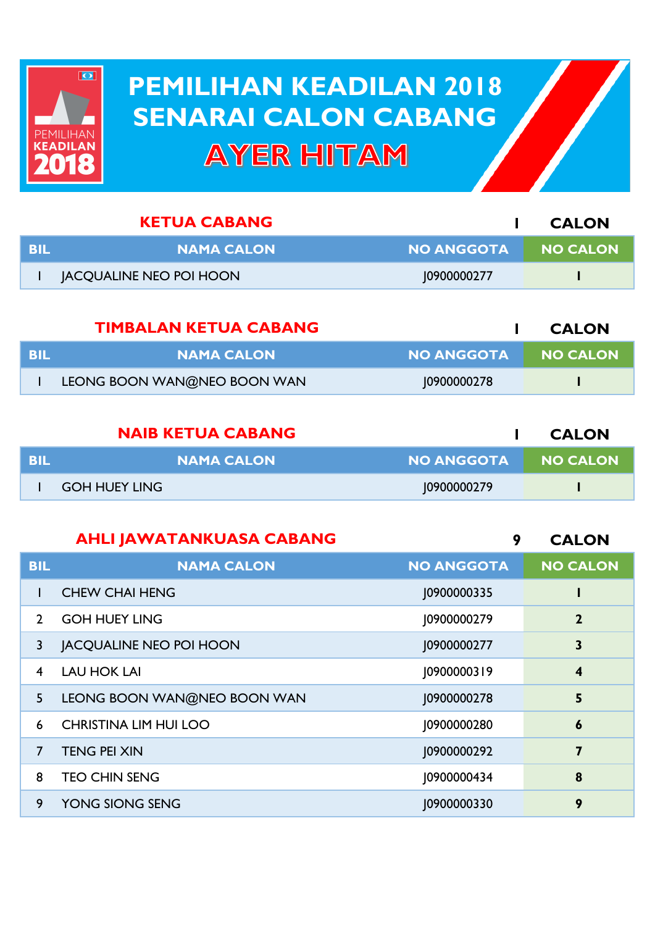## **PEMILIHAN KEADILAN 2018 PEMILIHAN KEADILAN 2018 SENARAI CALON CABANG SENARAI CALON CABANGAYER HITAM**

 $\overline{\mathbf{O}}$ 

PEMILIHAN<br>Keadilan

| <b>KETUA CABANG</b> |                                |                   | <b>CALON</b>    |
|---------------------|--------------------------------|-------------------|-----------------|
| <b>BIL</b>          | <b>NAMA CALON</b>              | <b>NO ANGGOTA</b> | <b>NO CALON</b> |
|                     | <b>JACQUALINE NEO POI HOON</b> | 10900000277       |                 |
|                     |                                |                   |                 |

| <b>TIMBALAN KETUA CABANG</b> |                             |              | <b>CALON</b>  |
|------------------------------|-----------------------------|--------------|---------------|
| - BIL                        | <b>NAMA CALON</b>           | NO ANGGOTA 1 | III NO CALONI |
|                              | LEONG BOON WAN@NEO BOON WAN | 10900000278  |               |

| <b>NAIB KETUA CABANG</b> |                      | <b>CALON</b>        |  |
|--------------------------|----------------------|---------------------|--|
| <b>BIL</b>               | <b>NAMA CALON</b>    | NO ANGGOTA NO CALON |  |
|                          | <b>GOH HUEY LING</b> | 10900000279         |  |

| <b>AHLI JAWATANKUASA CABANG</b> |                                | 9                 | <b>CALON</b>     |
|---------------------------------|--------------------------------|-------------------|------------------|
| <b>BIL</b>                      | <b>NAMA CALON</b>              | <b>NO ANGGOTA</b> | <b>NO CALON</b>  |
|                                 | <b>CHEW CHAI HENG</b>          | J0900000335       |                  |
| $\mathcal{P}$                   | <b>GOH HUEY LING</b>           | J0900000279       | $\mathbf{2}$     |
| 3                               | <b>JACQUALINE NEO POI HOON</b> | J0900000277       | 3                |
| 4                               | <b>LAU HOK LAI</b>             | J0900000319       | $\boldsymbol{4}$ |
| 5                               | LEONG BOON WAN@NEO BOON WAN    | J0900000278       | 5                |
| 6                               | <b>CHRISTINA LIM HUI LOO</b>   | J0900000280       | $\boldsymbol{6}$ |
| $\overline{7}$                  | <b>TENG PEI XIN</b>            | J0900000292       | 7                |
| 8                               | <b>TEO CHIN SENG</b>           | 10900000434       | 8                |
| 9                               | YONG SIONG SENG                | 10900000330       | 9                |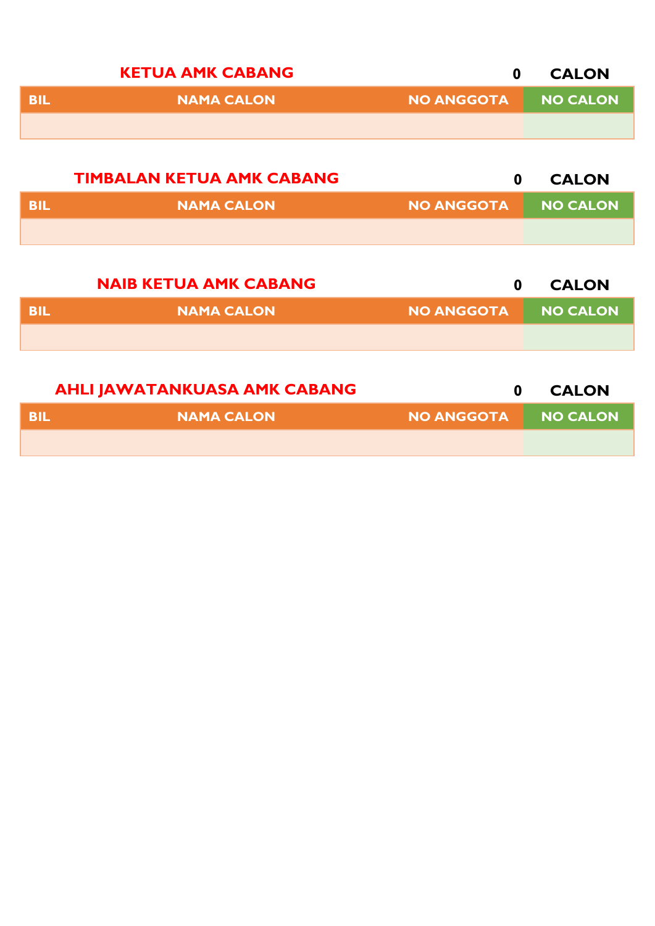|            | <b>KETUA AMK CABANG</b>          | $\boldsymbol{0}$  | <b>CALON</b>    |
|------------|----------------------------------|-------------------|-----------------|
| <b>BIL</b> | <b>NAMA CALON</b>                | <b>NO ANGGOTA</b> | <b>NO CALON</b> |
|            |                                  |                   |                 |
|            |                                  |                   |                 |
|            | <b>TIMBALAN KETUA AMK CABANG</b> | $\bf{0}$          | <b>CALON</b>    |
| <b>BIL</b> | <b>NAMA CALON</b>                | <b>NO ANGGOTA</b> | <b>NO CALON</b> |
|            |                                  |                   |                 |
|            |                                  |                   |                 |
|            | <b>NAIB KETUA AMK CABANG</b>     | $\bf{0}$          | <b>CALON</b>    |
| <b>BIL</b> | <b>NAMA CALON</b>                | <b>NO ANGGOTA</b> | <b>NO CALON</b> |

|      | <b>AHLI JAWATANKUASA AMK CABANG</b> |                     | <b>CALON</b> |
|------|-------------------------------------|---------------------|--------------|
| -BIL | <b>NAMA CALON \</b>                 | NO ANGGOTA NO CALON |              |
|      |                                     |                     |              |